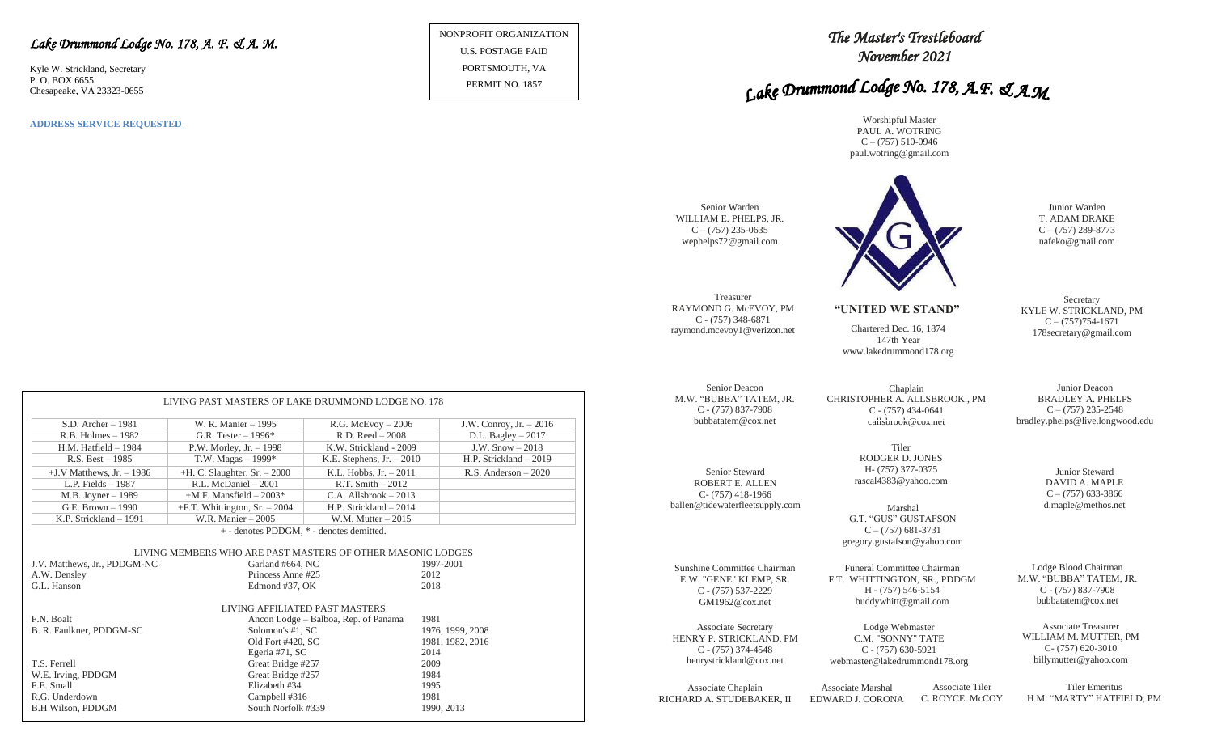#### *Lake Drummond Lodge No. 178, A. F. & A. M.*

Kyle W. Strickland, Secretary P. O. BOX 6655 Chesapeake, VA 23323-0655

**ADDRESS SERVICE REQUESTED**

NONPROFIT ORGANIZATION U.S. POSTAGE PAID PORTSMOUTH, VA PERMIT NO. 1857

### *The Master's Trestleboard November 2021*

# Lake Drummond Lodge No. 178, A.F. & A.M.

Worshipful Master PAUL A. WOTRING  $C - (757)$  510-0946 paul.wotring@gmail.com



KYLE W. STRICKLAND, PM 178secretary@gmail.com

BRADLEY A. PHELPS  $C - (757)$  235-2548 bradley.phelps@live.longwood.edu

Lodge Blood Chairman M.W. "BUBBA" TATEM, JR.

WILLIAM M. MUTTER, PM billymutter@yahoo.com

Associate Chaplain RICHARD A. STUDEBAKER, II

EDWARD J. CORONA C. ROYCE. McCOY

Tiler Emeritus H.M. "MARTY" HATFIELD, PM

|                                                                    | LIVING PAST MASTERS OF LAKE DRUMMOND LODGE NO. 178                                                                                |                                          |                                                      |  |
|--------------------------------------------------------------------|-----------------------------------------------------------------------------------------------------------------------------------|------------------------------------------|------------------------------------------------------|--|
| $S.D.$ Archer $-1981$                                              | W. R. Manier - 1995<br>$R.G.$ McEvoy $-2006$                                                                                      |                                          | J.W. Conroy, Jr. $-2016$                             |  |
| $R.B.$ Holmes $-1982$                                              | G.R. Tester $-1996*$<br>$R.D. Reed - 2008$                                                                                        |                                          | D.L. Bagley $-2017$                                  |  |
| $H.M.$ Hatfield $-1984$                                            | K.W. Strickland - 2009<br>P.W. Morley, Jr. $-1998$                                                                                |                                          | $J.W.$ Snow $-2018$                                  |  |
| $R.S. Best - 1985$                                                 | T.W. Magas $-1999*$<br>K.E. Stephens, $Jr. - 2010$                                                                                |                                          | H.P. Strickland - 2019                               |  |
| $+J.V$ Matthews, Jr. $-1986$                                       | $+H$ . C. Slaughter, Sr. $-2000$<br>K.L. Hobbs, Jr. - 2011                                                                        |                                          | R.S. Anderson $-2020$                                |  |
| L.P. Fields $-1987$                                                | R.L. McDaniel - 2001                                                                                                              | $R.T. Smith - 2012$                      |                                                      |  |
| $M.B.$ Joyner $-1989$                                              | $+$ M.F. Mansfield $-$ 2003 $*$                                                                                                   | $C.A.$ Allsbrook $-2013$                 |                                                      |  |
| $G.E. Brown - 1990$                                                | $+F.T.$ Whittington, $Sr. - 2004$                                                                                                 | H.P. Strickland - 2014                   |                                                      |  |
| K.P. Strickland - 1991                                             | W.R. Manier $-2005$                                                                                                               | W.M. Mutter $-2015$                      |                                                      |  |
| J.V. Matthews, Jr., PDDGM-NC<br>A.W. Densley<br>G.L. Hanson        | LIVING MEMBERS WHO ARE PAST MASTERS OF OTHER MASONIC LODGES<br>Garland #664, NC<br>Princess Anne #25<br>Edmond #37, OK            | + - denotes PDDGM, * - denotes demitted. | 1997-2001<br>2012<br>2018                            |  |
| F.N. Boalt<br>B. R. Faulkner, PDDGM-SC                             | LIVING AFFILIATED PAST MASTERS<br>Ancon Lodge – Balboa, Rep. of Panama<br>Solomon's #1, SC<br>Old Fort #420, SC<br>Egeria #71, SC |                                          | 1981<br>1976, 1999, 2008<br>1981, 1982, 2016<br>2014 |  |
| T.S. Ferrell<br>W.E. Irving, PDDGM<br>F.E. Small<br>R.G. Underdown | Great Bridge #257<br>Great Bridge #257<br>Elizabeth #34<br>Campbell #316                                                          |                                          | 2009<br>1984<br>1995<br>1981                         |  |
| <b>B.H Wilson, PDDGM</b><br>South Norfolk #339                     |                                                                                                                                   |                                          | 1990, 2013                                           |  |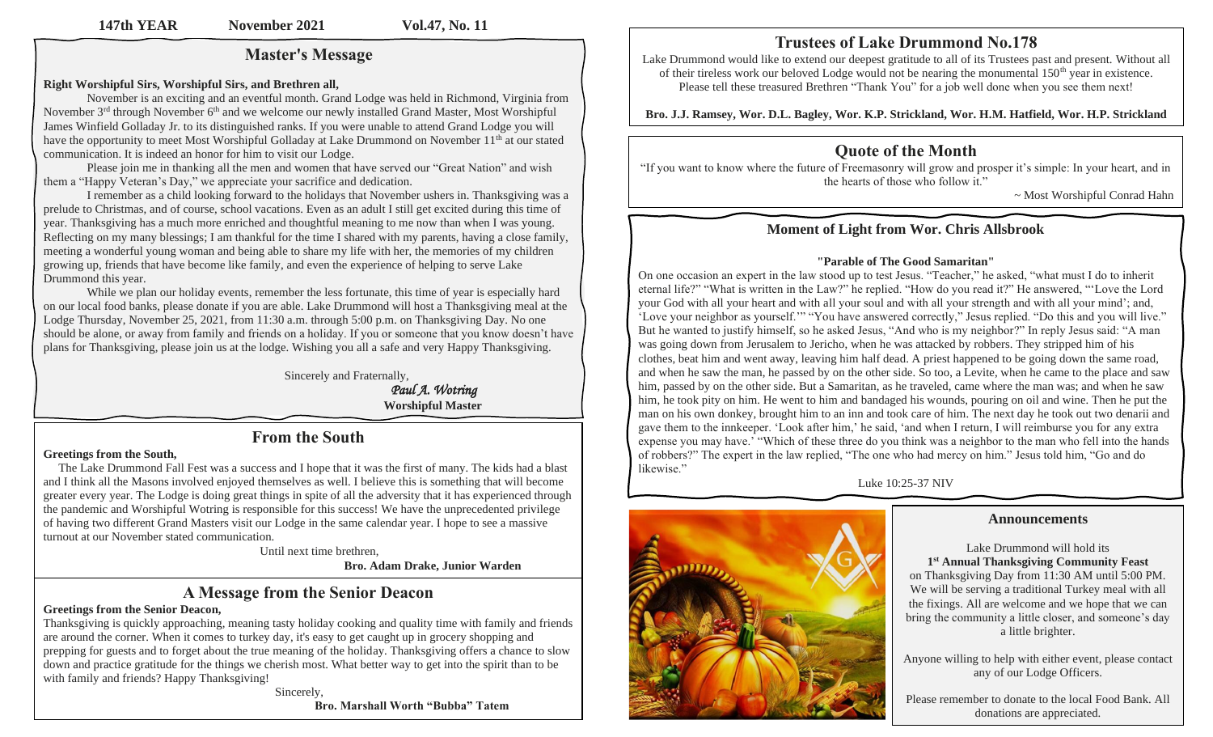# **Master's Message**

**Right Worshipful Sirs, Worshipful Sirs, and Brethren all,**

November is an exciting and an eventful month. Grand Lodge was held in Richmond, Virginia from November 3<sup>rd</sup> through November 6<sup>th</sup> and we welcome our newly installed Grand Master, Most Worshipful James Winfield Golladay Jr. to its distinguished ranks. If you were unable to attend Grand Lodge you will have the opportunity to meet Most Worshipful Golladay at Lake Drummond on November 11<sup>th</sup> at our stated communication. It is indeed an honor for him to visit our Lodge.

Please join me in thanking all the men and women that have served our "Great Nation" and wish them a "Happy Veteran's Day," we appreciate your sacrifice and dedication.

I remember as a child looking forward to the holidays that November ushers in. Thanksgiving was a prelude to Christmas, and of course, school vacations. Even as an adult I still get excited during this time of year. Thanksgiving has a much more enriched and thoughtful meaning to me now than when I was young. Reflecting on my many blessings; I am thankful for the time I shared with my parents, having a close family, meeting a wonderful young woman and being able to share my life with her, the memories of my children growing up, friends that have become like family, and even the experience of helping to serve Lake Drummond this year.

While we plan our holiday events, remember the less fortunate, this time of year is especially hard on our local food banks, please donate if you are able. Lake Drummond will host a Thanksgiving meal at the Lodge Thursday, November 25, 2021, from 11:30 a.m. through 5:00 p.m. on Thanksgiving Day. No one should be alone, or away from family and friends on a holiday. If you or someone that you know doesn't have plans for Thanksgiving, please join us at the lodge. Wishing you all a safe and very Happy Thanksgiving.

Sincerely and Fraternally,

Ï

 *Paul A. Wotring* **Worshipful Master**

# **From the South**

#### **Greetings from the South,**

 The Lake Drummond Fall Fest was a success and I hope that it was the first of many. The kids had a blast and I think all the Masons involved enjoyed themselves as well. I believe this is something that will become greater every year. The Lodge is doing great things in spite of all the adversity that it has experienced through the pandemic and Worshipful Wotring is responsible for this success! We have the unprecedented privilege of having two different Grand Masters visit our Lodge in the same calendar year. I hope to see a massive turnout at our November stated communication.

Until next time brethren,

**Bro. Adam Drake, Junior Warden**

# **A Message from the Senior Deacon**

#### **Greetings from the Senior Deacon,**

Thanksgiving is quickly approaching, meaning tasty holiday cooking and quality time with family and friends are around the corner. When it comes to turkey day, it's easy to get caught up in grocery shopping and prepping for guests and to forget about the true meaning of the holiday. Thanksgiving offers a chance to slow down and practice gratitude for the things we cherish most. What better way to get into the spirit than to be with family and friends? Happy Thanksgiving!

Sincerely,

 **Bro. Marshall Worth "Bubba" Tatem** 

# **Trustees of Lake Drummond No.178**

Lake Drummond would like to extend our deepest gratitude to all of its Trustees past and present. Without all of their tireless work our beloved Lodge would not be nearing the monumental 150<sup>th</sup> year in existence. Please tell these treasured Brethren "Thank You" for a job well done when you see them next!

**Bro. J.J. Ramsey, Wor. D.L. Bagley, Wor. K.P. Strickland, Wor. H.M. Hatfield, Wor. H.P. Strickland**

# **Quote of the Month**

"If you want to know where the future of Freemasonry will grow and prosper it's simple: In your heart, and in the hearts of those who follow it."

~ Most Worshipful Conrad Hahn

### **Moment of Light from Wor. Chris Allsbrook**

### **"Parable of The Good Samaritan"**

On one occasion an expert in the law stood up to test Jesus. "Teacher," he asked, "what must I do to inherit eternal life?" "What is written in the Law?" he replied. "How do you read it?" He answered, "'Love the Lord your God with all your heart and with all your soul and with all your strength and with all your mind'; and, 'Love your neighbor as yourself.'" "You have answered correctly," Jesus replied. "Do this and you will live." But he wanted to justify himself, so he asked Jesus, "And who is my neighbor?" In reply Jesus said: "A man was going down from Jerusalem to Jericho, when he was attacked by robbers. They stripped him of his clothes, beat him and went away, leaving him half dead. A priest happened to be going down the same road, and when he saw the man, he passed by on the other side. So too, a Levite, when he came to the place and saw him, passed by on the other side. But a Samaritan, as he traveled, came where the man was; and when he saw him, he took pity on him. He went to him and bandaged his wounds, pouring on oil and wine. Then he put the man on his own donkey, brought him to an inn and took care of him. The next day he took out two denarii and gave them to the innkeeper. 'Look after him,' he said, 'and when I return, I will reimburse you for any extra expense you may have.' "Which of these three do you think was a neighbor to the man who fell into the hands of robbers?" The expert in the law replied, "The one who had mercy on him." Jesus told him, "Go and do likewise."

Luke 10:25-37 NIV



#### **Announcements**

Lake Drummond will hold its **1 st Annual Thanksgiving Community Feast**  on Thanksgiving Day from 11:30 AM until 5:00 PM. We will be serving a traditional Turkey meal with all the fixings. All are welcome and we hope that we can bring the community a little closer, and someone's day a little brighter.

Anyone willing to help with either event, please contact any of our Lodge Officers.

Please remember to donate to the local Food Bank. All donations are appreciated.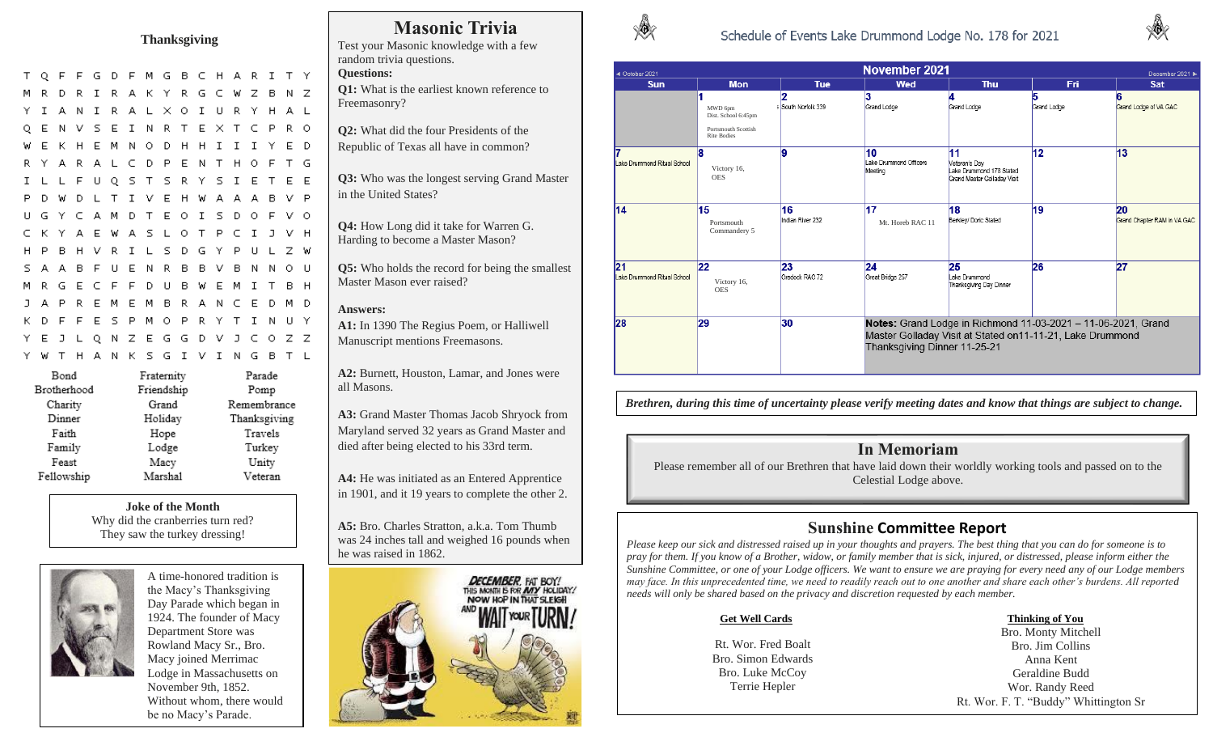#### **Thanksgiving**

T O F F G D F M G B C H A R I T Y D R I R A K Y R G C W Z B N Z Y I A N I R A L X O I U R Y H A L V S E I N R T E X T C P R O H E M N O D H H I I I Y E D К A R A L C D P E N T H O F T G F U O S T S R Y S I E T E E  $\mathbf{D}$ L T I V E H W A A A B V P  $\subset$ A M D T E O I S D O E.  $V$  0 A E W A S L O T P C I J V H IL SD G R. ULZW  $N$   $O$   $U$ E В. T R H G. E  $\Gamma$  $\overline{11}$ - B R. E na.  $E$ M. **BRANC** Ε D.  $M$  D O P R Y T I N U Y  $E$ S.  $\mathsf{P}$ M. J L Q N Z E G G D V J C O Z Z T H A N K S G I V I N G B T L

| Bond        | Fraternity | Parade       |  |
|-------------|------------|--------------|--|
| Brotherhood | Friendship | Pomp         |  |
| Charity     | Grand      | Remembrance  |  |
| Dinner      | Holiday    | Thanksgiving |  |
| Faith       | Hope       | Travels      |  |
| Family      | Lodge      | Turkey       |  |
| Feast       | Macy       | Unity        |  |
| Fellowship  | Marshal    | Veteran      |  |

**Joke of the Month** Why did the cranberries turn red? They saw the turkey dressing!



A time-honored tradition is the Macy's Thanksgiving Day Parade which began in 1924. The founder of Macy Department Store was Rowland Macy Sr., Bro. Macy joined Merrimac Lodge in Massachusetts on November 9th, 1852. Without whom, there would be no Macy's Parade.

# **Masonic Trivia**

Test your Masonic knowledge with a few random trivia questions.

#### **Questions:**

**Q1:** What is the earliest known reference to Freemasonry?

**Q2:** What did the four Presidents of the Republic of Texas all have in common?

**Q3:** Who was the longest serving Grand Master in the United States?

**Q4:** How Long did it take for Warren G. Harding to become a Master Mason?

**Q5:** Who holds the record for being the smallest Master Mason ever raised?

#### **Answers:**

**A1:** In 1390 The Regius Poem, or Halliwell Manuscript mentions Freemasons.

**A2:** Burnett, Houston, Lamar, and Jones were all Masons.

**A3:** Grand Master Thomas Jacob Shryock from Maryland served 32 years as Grand Master and died after being elected to his 33rd term.

**A4:** He was initiated as an Entered Apprentice in 1901, and it 19 years to complete the other 2.

**A5:** Bro. Charles Stratton, a.k.a. Tom Thumb was 24 inches tall and weighed 16 pounds when he was raised in 1862.





#### Schedule of Events Lake Drummond Lodge No. 178 for 2021



| November 2021<br>◀ October 2021<br>December 2021 ▶ |                                                                             |                        |                                                                                                                                                             |                                                                                |                  |                                   |  |  |  |
|----------------------------------------------------|-----------------------------------------------------------------------------|------------------------|-------------------------------------------------------------------------------------------------------------------------------------------------------------|--------------------------------------------------------------------------------|------------------|-----------------------------------|--|--|--|
| <b>Sun</b>                                         | <b>Mon</b>                                                                  | <b>Tue</b>             | <b>Wed</b>                                                                                                                                                  | Thu                                                                            | Fri.             | <b>Sat</b>                        |  |  |  |
|                                                    | MWD 6pm<br>Dist. School 6:45pm<br>Portsmouth Scottish<br><b>Rite Bodies</b> | South Norfolk 339      | 3<br>Grand Lodge                                                                                                                                            | Grand Lodge                                                                    | 5<br>Grand Lodge | Grand Lodge of VA GAC             |  |  |  |
| Lake Drummond Ritual School                        | 18<br>Victory 16,<br><b>OES</b>                                             | g                      | 10<br>Lake Drummond Officers<br>Meeting                                                                                                                     | 11<br>Veteran's Dav<br>Lake Drummond 178 Stated<br>Grand Master Golladay Visit | 12               | 13                                |  |  |  |
| $14 \overline{4}$                                  | 15<br>Portsmouth<br>Commandery 5                                            | 16<br>Indian River 232 | 17<br>Mt. Horeb RAC 11                                                                                                                                      | 18<br>Berkley/ Doric Stated                                                    | 19               | 20<br>Grand Chapter RAM in VA GAC |  |  |  |
| 21<br>Lake Drummond Ritual School                  | 22<br>Victory 16,<br><b>OES</b>                                             | 23<br>Cradock RAC 72   | 24<br>Great Bridge 257                                                                                                                                      | 25<br>Lake Drummond<br>Thanksgiving Day Dinner                                 | 26               | 27                                |  |  |  |
| 28                                                 | 29                                                                          | 30                     | Notes: Grand Lodge in Richmond 11-03-2021 - 11-06-2021, Grand<br>Master Golladay Visit at Stated on 11-11-21, Lake Drummond<br>Thanksgiving Dinner 11-25-21 |                                                                                |                  |                                   |  |  |  |

*Brethren, during this time of uncertainty please verify meeting dates and know that things are subject to change.* 

#### **In Memoriam**

Please remember all of our Brethren that have laid down their worldly working tools and passed on to the Celestial Lodge above.

#### **Sunshine Committee Report**

*Please keep our sick and distressed raised up in your thoughts and prayers. The best thing that you can do for someone is to pray for them. If you know of a Brother, widow, or family member that is sick, injured, or distressed, please inform either the Sunshine Committee, or one of your Lodge officers. We want to ensure we are praying for every need any of our Lodge members may face. In this unprecedented time, we need to readily reach out to one another and share each other's burdens. All reported needs will only be shared based on the privacy and discretion requested by each member.* 

#### **Get Well Cards**

Rt. Wor. Fred Boalt Bro. Simon Edwards Bro. Luke McCoy Terrie Hepler

#### **Thinking of You**

Bro. Monty Mitchell Bro. Jim Collins Anna Kent Geraldine Budd Wor. Randy Reed Rt. Wor. F. T. "Buddy" Whittington Sr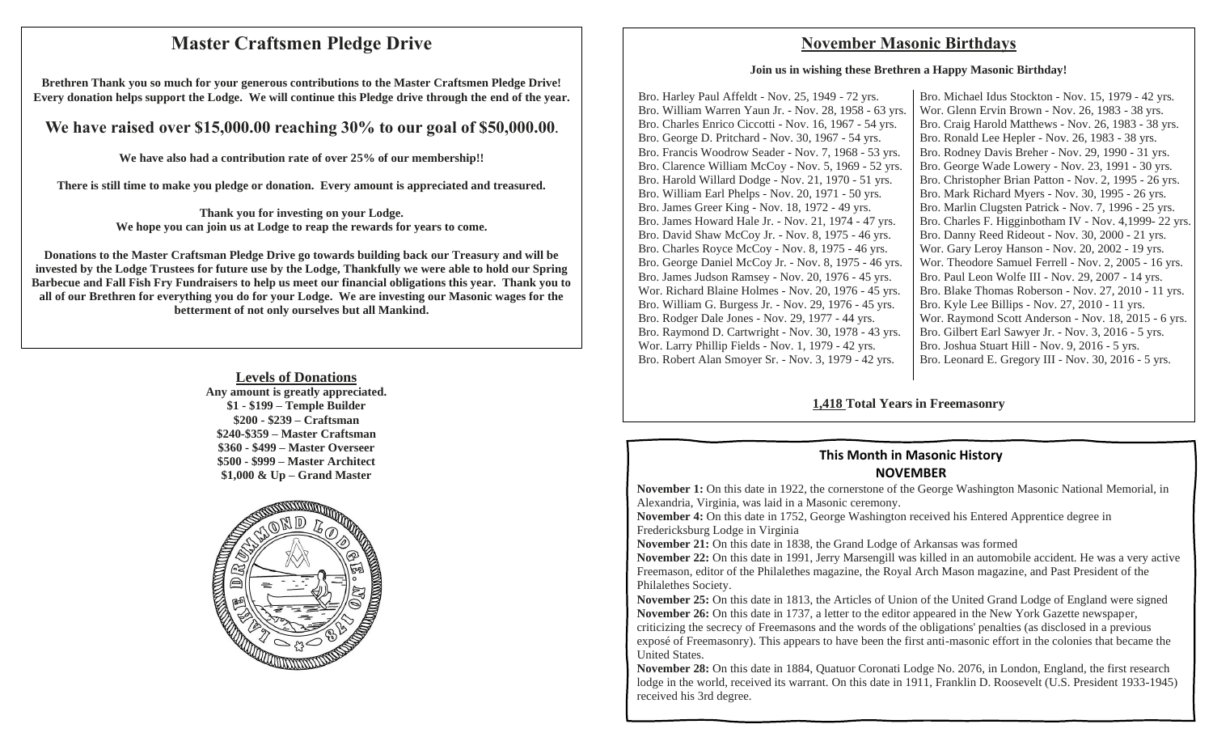# **Master Craftsmen Pledge Drive**

**Brethren Thank you so much for your generous contributions to the Master Craftsmen Pledge Drive! Every donation helps support the Lodge. We will continue this Pledge drive through the end of the year.**

**We have raised over \$15,000.00 reaching 30% to our goal of \$50,000.00.** 

**We have also had a contribution rate of over 25% of our membership!!**

**There is still time to make you pledge or donation. Every amount is appreciated and treasured.**

**Thank you for investing on your Lodge. We hope you can join us at Lodge to reap the rewards for years to come.** 

**Donations to the Master Craftsman Pledge Drive go towards building back our Treasury and will be invested by the Lodge Trustees for future use by the Lodge, Thankfully we were able to hold our Spring Barbecue and Fall Fish Fry Fundraisers to help us meet our financial obligations this year. Thank you to all of our Brethren for everything you do for your Lodge. We are investing our Masonic wages for the betterment of not only ourselves but all Mankind.** 

> **Levels of Donations Any amount is greatly appreciated. \$1 - \$199 – Temple Builder \$200 - \$239 – Craftsman \$240-\$359 – Master Craftsman \$360 - \$499 – Master Overseer \$500 - \$999 – Master Architect \$1,000 & Up – Grand Master**



# **November Masonic Birthdays**

#### **Join us in wishing these Brethren a Happy Masonic Birthday!**

Bro. Harley Paul Affeldt - Nov. 25, 1949 - 72 yrs. Bro. William Warren Yaun Jr. - Nov. 28, 1958 - 63 yrs. Bro. Charles Enrico Ciccotti - Nov. 16, 1967 - 54 yrs. Bro. George D. Pritchard - Nov. 30, 1967 - 54 yrs. Bro. Francis Woodrow Seader - Nov. 7, 1968 - 53 yrs. Bro. Clarence William McCoy - Nov. 5, 1969 - 52 yrs. Bro. Harold Willard Dodge - Nov. 21, 1970 - 51 yrs. Bro. William Earl Phelps - Nov. 20, 1971 - 50 yrs. Bro. James Greer King - Nov. 18, 1972 - 49 yrs. Bro. James Howard Hale Jr. - Nov. 21, 1974 - 47 yrs. Bro. David Shaw McCoy Jr. - Nov. 8, 1975 - 46 yrs. Bro. Charles Royce McCoy - Nov. 8, 1975 - 46 yrs. Bro. George Daniel McCoy Jr. - Nov. 8, 1975 - 46 yrs. Bro. James Judson Ramsey - Nov. 20, 1976 - 45 yrs. Wor. Richard Blaine Holmes - Nov. 20, 1976 - 45 yrs. Bro. William G. Burgess Jr. - Nov. 29, 1976 - 45 yrs. Bro. Rodger Dale Jones - Nov. 29, 1977 - 44 yrs. Bro. Raymond D. Cartwright - Nov. 30, 1978 - 43 yrs. Wor. Larry Phillip Fields - Nov. 1, 1979 - 42 yrs. Bro. Robert Alan Smoyer Sr. - Nov. 3, 1979 - 42 yrs.

Bro. Michael Idus Stockton - Nov. 15, 1979 - 42 yrs. Wor. Glenn Ervin Brown - Nov. 26, 1983 - 38 yrs. Bro. Craig Harold Matthews - Nov. 26, 1983 - 38 yrs. Bro. Ronald Lee Hepler - Nov. 26, 1983 - 38 yrs. Bro. Rodney Davis Breher - Nov. 29, 1990 - 31 yrs. Bro. George Wade Lowery - Nov. 23, 1991 - 30 yrs. Bro. Christopher Brian Patton - Nov. 2, 1995 - 26 yrs. Bro. Mark Richard Myers - Nov. 30, 1995 - 26 yrs. Bro. Marlin Clugsten Patrick - Nov. 7, 1996 - 25 yrs. Bro. Charles F. Higginbotham IV - Nov. 4,1999- 22 yrs. Bro. Danny Reed Rideout - Nov. 30, 2000 - 21 yrs. Wor. Gary Leroy Hanson - Nov. 20, 2002 - 19 yrs. Wor. Theodore Samuel Ferrell - Nov. 2, 2005 - 16 yrs. Bro. Paul Leon Wolfe III - Nov. 29, 2007 - 14 yrs. Bro. Blake Thomas Roberson - Nov. 27, 2010 - 11 yrs. Bro. Kyle Lee Billips - Nov. 27, 2010 - 11 yrs. Wor. Raymond Scott Anderson - Nov. 18, 2015 - 6 yrs. Bro. Gilbert Earl Sawyer Jr. - Nov. 3, 2016 - 5 yrs. Bro. Joshua Stuart Hill - Nov. 9, 2016 - 5 yrs. Bro. Leonard E. Gregory III - Nov. 30, 2016 - 5 yrs.

### **1,418 Total Years in Freemasonry**

#### **This Month in Masonic History NOVEMBER**

**November 1:** On this date in 1922, the cornerstone of the George Washington Masonic National Memorial, in Alexandria, Virginia, was laid in a Masonic ceremony.

**November 4:** On this date in 1752, George Washington received his Entered Apprentice degree in Fredericksburg Lodge in Virginia

**November 21:** On this date in 1838, the Grand Lodge of Arkansas was formed

**November 22:** On this date in 1991, Jerry Marsengill was killed in an automobile accident. He was a very active Freemason, editor of the Philalethes magazine, the Royal Arch Mason magazine, and Past President of the Philalethes Society.

**November 25:** On this date in 1813, the Articles of Union of the United Grand Lodge of England were signed **November 26:** On this date in 1737, a letter to the editor appeared in the New York Gazette newspaper, criticizing the secrecy of Freemasons and the words of the obligations' penalties (as disclosed in a previous exposé of Freemasonry). This appears to have been the first anti-masonic effort in the colonies that became the United States.

**November 28:** On this date in 1884, Quatuor Coronati Lodge No. 2076, in London, England, the first research lodge in the world, received its warrant. On this date in 1911, Franklin D. Roosevelt (U.S. President 1933-1945) received his 3rd degree.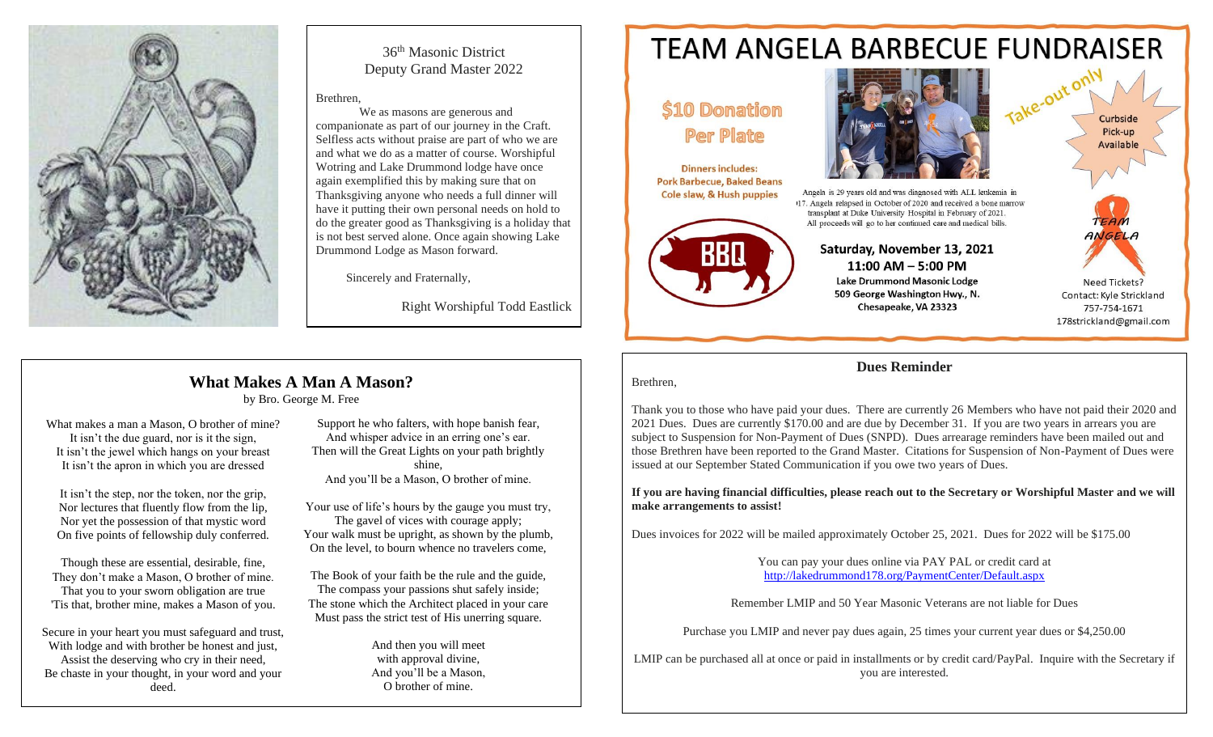

#### 36th Masonic District Deputy Grand Master 2022

#### Brethren,

We as masons are generous and companionate as part of our journey in the Craft. Selfless acts without praise are part of who we are and what we do as a matter of course. Worshipful Wotring and Lake Drummond lodge have once again exemplified this by making sure that on Thanksgiving anyone who needs a full dinner will have it putting their own personal needs on hold to do the greater good as Thanksgiving is a holiday that is not best served alone. Once again showing Lake Drummond Lodge as Mason forward.

Sincerely and Fraternally,

Right Worshipful Todd Eastlick

# **TEAM ANGELA BARBECUE FUNDRAISER**

# \$10 Donation Plate

**Dinners includes: Pork Barbecue, Baked Beans** Cole slaw, & Hush puppies



Brethren,



Angela is 29 years old and was diagnosed with ALL leukemia in 17. Angela relapsed in October of 2020 and received a bone marrow transplant at Duke University Hospital in February of 2021. All proceeds will go to her continued care and medical bills.

### Saturday, November 13, 2021  $11:00$  AM  $-$  5:00 PM Lake Drummond Masonic Lodge

509 George Washington Hwy., N. Chesapeake, VA 23323



**What Makes A Man A Mason?**

by Bro. George M. Free

What makes a man a Mason, O brother of mine? It isn't the due guard, nor is it the sign, It isn't the jewel which hangs on your breast It isn't the apron in which you are dressed

It isn't the step, nor the token, nor the grip, Nor lectures that fluently flow from the lip, Nor yet the possession of that mystic word On five points of fellowship duly conferred.

Though these are essential, desirable, fine, They don't make a Mason, O brother of mine. That you to your sworn obligation are true 'Tis that, brother mine, makes a Mason of you.

Secure in your heart you must safeguard and trust, With lodge and with brother be honest and just, Assist the deserving who cry in their need, Be chaste in your thought, in your word and your deed.

Support he who falters, with hope banish fear, And whisper advice in an erring one's ear. Then will the Great Lights on your path brightly shine, And you'll be a Mason, O brother of mine.

Your use of life's hours by the gauge you must try, The gavel of vices with courage apply; Your walk must be upright, as shown by the plumb, On the level, to bourn whence no travelers come,

The Book of your faith be the rule and the guide, The compass your passions shut safely inside; The stone which the Architect placed in your care Must pass the strict test of His unerring square.

> And then you will meet with approval divine, And you'll be a Mason, O brother of mine.

Thank you to those who have paid your dues. There are currently 26 Members who have not paid their 2020 and 2021 Dues. Dues are currently \$170.00 and are due by December 31. If you are two years in arrears you are subject to Suspension for Non-Payment of Dues (SNPD). Dues arrearage reminders have been mailed out and those Brethren have been reported to the Grand Master. Citations for Suspension of Non-Payment of Dues were issued at our September Stated Communication if you owe two years of Dues.

**Dues Reminder**

**If you are having financial difficulties, please reach out to the Secretary or Worshipful Master and we will make arrangements to assist!**

Dues invoices for 2022 will be mailed approximately October 25, 2021. Dues for 2022 will be \$175.00

You can pay your dues online via PAY PAL or credit card at http://lakedrummond178.org/PaymentCenter/Default.aspx

Remember LMIP and 50 Year Masonic Veterans are not liable for Dues

Purchase you LMIP and never pay dues again, 25 times your current year dues or \$4,250.00

LMIP can be purchased all at once or paid in installments or by credit card/PayPal. Inquire with the Secretary if you are interested.